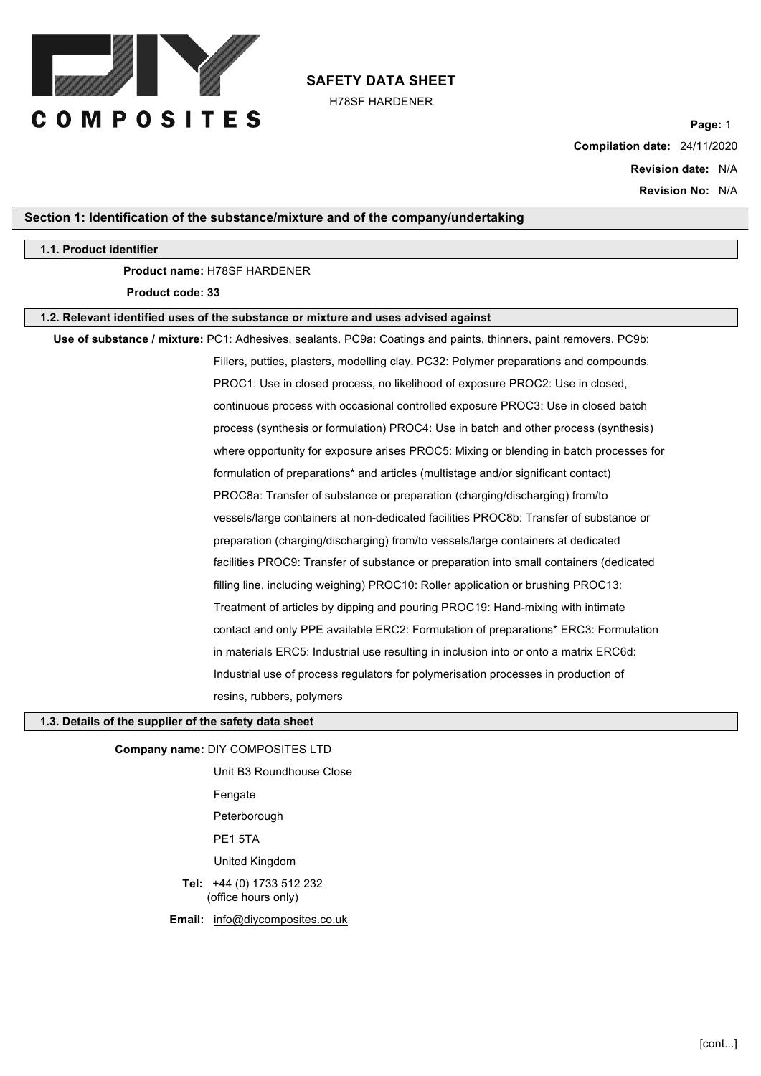

H78SF HARDENER

**Page:** 1 **Compilation date:** 24/11/2020 **Revision date:** N/A **Revision No:** N/A

# **Section 1: Identification of the substance/mixture and of the company/undertaking**

#### **1.1. Product identifier**

## **Product name:** H78SF HARDENER

**Product code: 33**

#### **1.2. Relevant identified uses of the substance or mixture and uses advised against**

**Use of substance / mixture:** PC1: Adhesives, sealants. PC9a: Coatings and paints, thinners, paint removers. PC9b: Fillers, putties, plasters, modelling clay. PC32: Polymer preparations and compounds. PROC1: Use in closed process, no likelihood of exposure PROC2: Use in closed, continuous process with occasional controlled exposure PROC3: Use in closed batch process (synthesis or formulation) PROC4: Use in batch and other process (synthesis) where opportunity for exposure arises PROC5: Mixing or blending in batch processes for formulation of preparations\* and articles (multistage and/or significant contact) PROC8a: Transfer of substance or preparation (charging/discharging) from/to vessels/large containers at non-dedicated facilities PROC8b: Transfer of substance or preparation (charging/discharging) from/to vessels/large containers at dedicated facilities PROC9: Transfer of substance or preparation into small containers (dedicated filling line, including weighing) PROC10: Roller application or brushing PROC13: Treatment of articles by dipping and pouring PROC19: Hand-mixing with intimate contact and only PPE available ERC2: Formulation of preparations\* ERC3: Formulation in materials ERC5: Industrial use resulting in inclusion into or onto a matrix ERC6d: Industrial use of process regulators for polymerisation processes in production of resins, rubbers, polymers

# **1.3. Details of the supplier of the safety data sheet**

**Company name:** DIY COMPOSITES LTD

Unit B3 Roundhouse Close Fengate Peterborough PE1 5TA United Kingdom **Tel:** +44 (0) 1733 512 232 (office hours only) **Email:** info@diycomposites.co.uk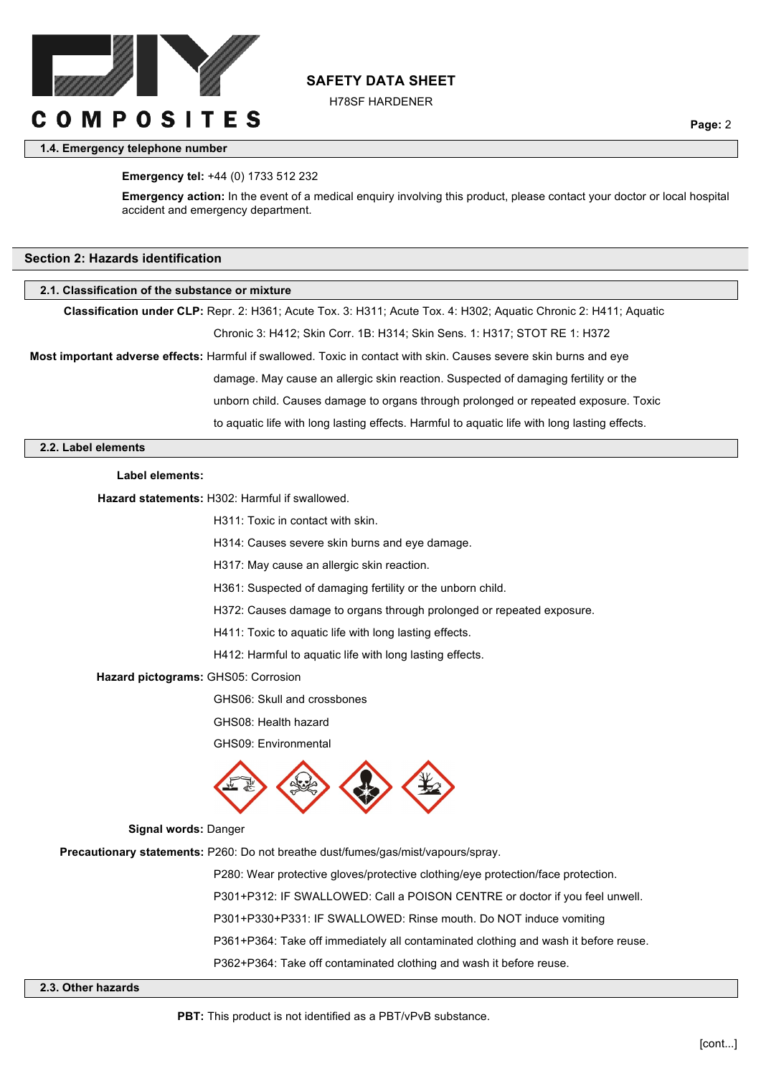

H78SF HARDENER

## **1.4. Emergency telephone number**

**Page:** 2

#### **Emergency tel:** +44 (0) 1733 512 232

**Emergency action:** In the event of a medical enquiry involving this product, please contact your doctor or local hospital accident and emergency department.

#### **Section 2: Hazards identification**

#### **2.1. Classification of the substance or mixture**

**Classification under CLP:** Repr. 2: H361; Acute Tox. 3: H311; Acute Tox. 4: H302; Aquatic Chronic 2: H411; Aquatic

Chronic 3: H412; Skin Corr. 1B: H314; Skin Sens. 1: H317; STOT RE 1: H372

**Most important adverse effects:** Harmful if swallowed. Toxic in contact with skin. Causes severe skin burns and eye

damage. May cause an allergic skin reaction. Suspected of damaging fertility or the

unborn child. Causes damage to organs through prolonged or repeated exposure. Toxic

to aquatic life with long lasting effects. Harmful to aquatic life with long lasting effects.

#### **2.2. Label elements**

**Label elements:**

**Hazard statements:** H302: Harmful if swallowed.

H311: Toxic in contact with skin.

H314: Causes severe skin burns and eye damage.

H317: May cause an allergic skin reaction.

H361: Suspected of damaging fertility or the unborn child.

H372: Causes damage to organs through prolonged or repeated exposure.

H411: Toxic to aquatic life with long lasting effects.

H412: Harmful to aquatic life with long lasting effects.

#### **Hazard pictograms: GHS05: Corrosion**

GHS06: Skull and crossbones

GHS08: Health hazard

GHS09: Environmental



#### **Signal words:** Danger

**Precautionary statements:** P260: Do not breathe dust/fumes/gas/mist/vapours/spray.

P280: Wear protective gloves/protective clothing/eye protection/face protection. P301+P312: IF SWALLOWED: Call a POISON CENTRE or doctor if you feel unwell. P301+P330+P331: IF SWALLOWED: Rinse mouth. Do NOT induce vomiting P361+P364: Take off immediately all contaminated clothing and wash it before reuse. P362+P364: Take off contaminated clothing and wash it before reuse.

**2.3. Other hazards**

**PBT:** This product is not identified as a PBT/vPvB substance.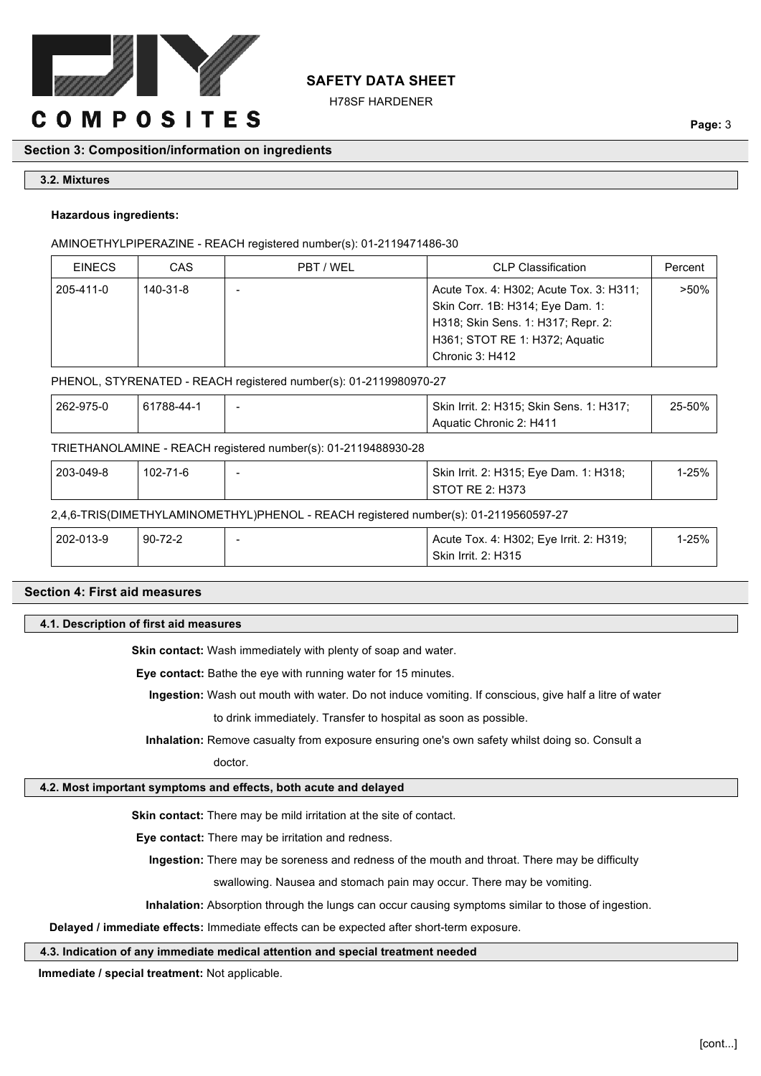

H78SF HARDENER

# **Section 3: Composition/information on ingredients**

# **3.2. Mixtures**

# **Hazardous ingredients:**

# AMINOETHYLPIPERAZINE - REACH registered number(s): 01-2119471486-30

| CAS      | PBT / WEL | <b>CLP Classification</b>                                                                                                                           | Percent         |
|----------|-----------|-----------------------------------------------------------------------------------------------------------------------------------------------------|-----------------|
| 140-31-8 |           | Acute Tox. 4: H302; Acute Tox. 3: H311;<br>Skin Corr. 1B: H314; Eye Dam. 1:<br>H318; Skin Sens. 1: H317; Repr. 2:<br>H361; STOT RE 1: H372; Aquatic | $>50\%$         |
|          |           |                                                                                                                                                     | Chronic 3: H412 |

# PHENOL, STYRENATED - REACH registered number(s): 01-2119980970-27

| 262-975-0 | 61788-44-1 | Skin Irrit. 2: H315; Skin Sens. 1: H317; | 25-50% |
|-----------|------------|------------------------------------------|--------|
|           |            | Aquatic Chronic 2: H411                  |        |

# TRIETHANOLAMINE - REACH registered number(s): 01-2119488930-28

| 203-049-8 | 102-71-6 | - | Skin Irrit. 2: H315; Eye Dam. 1: H318; | $1-25%$ |
|-----------|----------|---|----------------------------------------|---------|
|           |          |   | STOT RE 2: H373                        |         |

# 2,4,6-TRIS(DIMETHYLAMINOMETHYL)PHENOL - REACH registered number(s): 01-2119560597-27

| 202-013-9 | $90-$<br>-72-2 | : Irrit. 2: H319;<br>Acute Tox. 4: H302; Eye | 1-25% |
|-----------|----------------|----------------------------------------------|-------|
|           |                | <b>Skin Irrit. 2: H315</b>                   |       |

# **Section 4: First aid measures**

# **4.1. Description of first aid measures**

**Skin contact:** Wash immediately with plenty of soap and water.

**Eye contact:** Bathe the eye with running water for 15 minutes.

**Ingestion:** Wash out mouth with water. Do not induce vomiting. If conscious, give half a litre of water

to drink immediately. Transfer to hospital as soon as possible.

**Inhalation:** Remove casualty from exposure ensuring one's own safety whilst doing so. Consult a

doctor.

# **4.2. Most important symptoms and effects, both acute and delayed**

**Skin contact:** There may be mild irritation at the site of contact.

**Eye contact:** There may be irritation and redness.

**Ingestion:** There may be soreness and redness of the mouth and throat. There may be difficulty

swallowing. Nausea and stomach pain may occur. There may be vomiting.

**Inhalation:** Absorption through the lungs can occur causing symptoms similar to those of ingestion.

**Delayed / immediate effects:** Immediate effects can be expected after short-term exposure.

# **4.3. Indication of any immediate medical attention and special treatment needed**

**Immediate / special treatment:** Not applicable.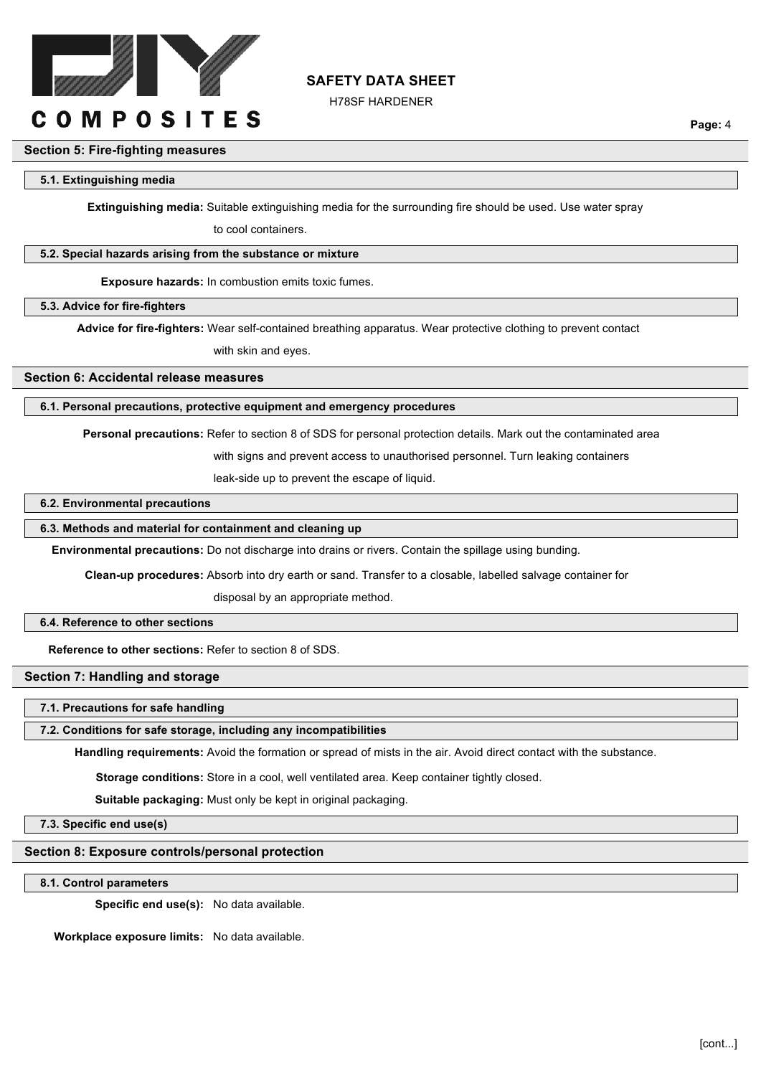

H78SF HARDENER

**Page:** 4

# **Section 5: Fire-fighting measures**

#### **5.1. Extinguishing media**

**Extinguishing media:** Suitable extinguishing media for the surrounding fire should be used. Use water spray

to cool containers.

#### **5.2. Special hazards arising from the substance or mixture**

**Exposure hazards:** In combustion emits toxic fumes.

#### **5.3. Advice for fire-fighters**

**Advice for fire-fighters:** Wear self-contained breathing apparatus. Wear protective clothing to prevent contact

with skin and eyes.

## **Section 6: Accidental release measures**

#### **6.1. Personal precautions, protective equipment and emergency procedures**

**Personal precautions:** Refer to section 8 of SDS for personal protection details. Mark out the contaminated area

with signs and prevent access to unauthorised personnel. Turn leaking containers

leak-side up to prevent the escape of liquid.

# **6.2. Environmental precautions**

# **6.3. Methods and material for containment and cleaning up**

**Environmental precautions:** Do not discharge into drains or rivers. Contain the spillage using bunding.

**Clean-up procedures:** Absorb into dry earth or sand. Transfer to a closable, labelled salvage container for

disposal by an appropriate method.

#### **6.4. Reference to other sections**

**Reference to other sections:** Refer to section 8 of SDS.

## **Section 7: Handling and storage**

## **7.1. Precautions for safe handling**

#### **7.2. Conditions for safe storage, including any incompatibilities**

**Handling requirements:** Avoid the formation or spread of mists in the air. Avoid direct contact with the substance.

**Storage conditions:** Store in a cool, well ventilated area. Keep container tightly closed.

**Suitable packaging:** Must only be kept in original packaging.

**7.3. Specific end use(s)**

## **Section 8: Exposure controls/personal protection**

**8.1. Control parameters**

**Specific end use(s):** No data available.

**Workplace exposure limits:** No data available.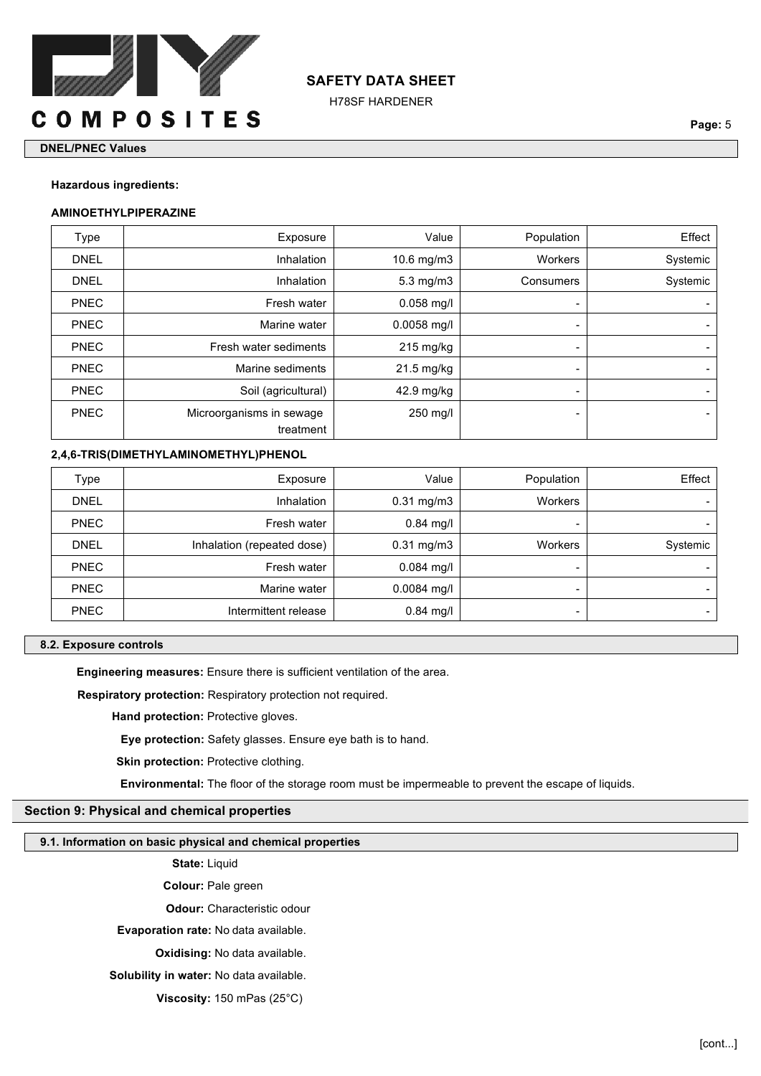

H78SF HARDENER

#### **DNEL/PNEC Values**

#### **Hazardous ingredients:**

#### **AMINOETHYLPIPERAZINE**

| Type        | Exposure                 | Value              | Population               | Effect   |
|-------------|--------------------------|--------------------|--------------------------|----------|
| <b>DNEL</b> | Inhalation               | 10.6 mg/m3         | Workers                  | Systemic |
| <b>DNEL</b> | Inhalation               | $5.3 \text{ mg/m}$ | Consumers                | Systemic |
| <b>PNEC</b> | Fresh water              | $0.058$ mg/l       | $\blacksquare$           |          |
| <b>PNEC</b> | Marine water             | $0.0058$ mg/l      | $\blacksquare$           |          |
| <b>PNEC</b> | Fresh water sediments    | $215$ mg/kg        | $\blacksquare$           |          |
| <b>PNEC</b> | Marine sediments         | 21.5 mg/kg         | $\blacksquare$           |          |
| <b>PNEC</b> | Soil (agricultural)      | 42.9 mg/kg         | $\blacksquare$           |          |
| <b>PNEC</b> | Microorganisms in sewage | 250 mg/l           | $\overline{\phantom{0}}$ |          |
|             | treatment                |                    |                          |          |

# **2,4,6-TRIS(DIMETHYLAMINOMETHYL)PHENOL**

| Type        | Exposure                   | Value           | Population     | Effect   |
|-------------|----------------------------|-----------------|----------------|----------|
| <b>DNEL</b> | Inhalation                 | $0.31$ mg/m $3$ | Workers        |          |
| <b>PNEC</b> | Fresh water                | $0.84$ mg/l     | -              |          |
| <b>DNEL</b> | Inhalation (repeated dose) | $0.31$ mg/m $3$ | <b>Workers</b> | Systemic |
| <b>PNEC</b> | Fresh water                | $0.084$ mg/l    | -              |          |
| <b>PNEC</b> | Marine water               | $0.0084$ mg/l   |                |          |
| <b>PNEC</b> | Intermittent release       | $0.84$ mg/l     | -              |          |

## **8.2. Exposure controls**

**Engineering measures:** Ensure there is sufficient ventilation of the area.

**Respiratory protection:** Respiratory protection not required.

**Hand protection: Protective gloves.** 

**Eye protection:** Safety glasses. Ensure eye bath is to hand.

**Skin protection: Protective clothing.** 

**Environmental:** The floor of the storage room must be impermeable to prevent the escape of liquids.

## **Section 9: Physical and chemical properties**

#### **9.1. Information on basic physical and chemical properties**

**State:** Liquid

**Colour:** Pale green

**Odour:** Characteristic odour

**Evaporation rate:** No data available.

**Oxidising:** No data available.

**Solubility in water:** No data available.

**Viscosity:** 150 mPas (25°C)

**Page:** 5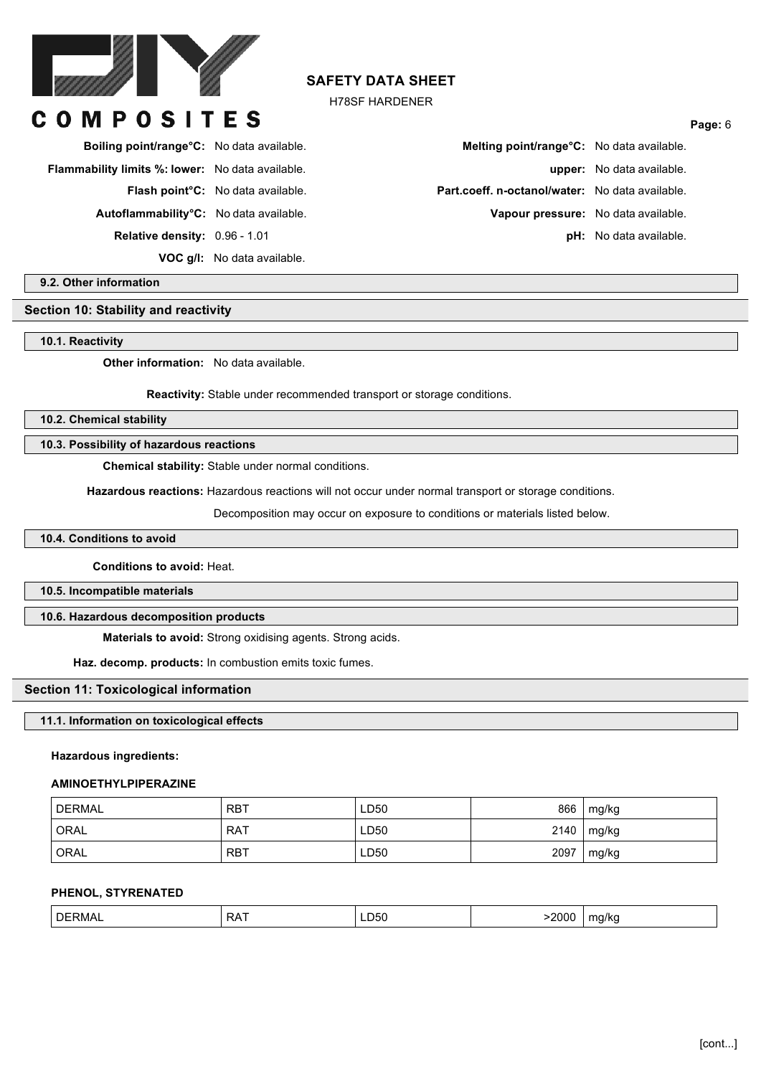

OMPOSITES

# **SAFETY DATA SHEET**

H78SF HARDENER

| <b>Boiling point/range °C:</b> No data available.       |                                          |
|---------------------------------------------------------|------------------------------------------|
| <b>Flammability limits %: lower:</b> No data available. |                                          |
|                                                         | <b>Flash point C:</b> No data available. |
| Autoflammability <sup>o</sup> C: No data available.     |                                          |
| <b>Relative density: 0.96 - 1.01</b>                    |                                          |
|                                                         | <b>VOC g/l:</b> No data available.       |

# **Boiling point/range°C:** No data available. **Melting point/range°C:** No data available. **Flammability limits %: lower:** No data available. **upper:** No data available. **Part.coeff. n-octanol/water:** No data available. Vapour pressure: No data available. **pH:** No data available.

**Page:** 6

**9.2. Other information**

# **Section 10: Stability and reactivity**

**10.1. Reactivity**

**Other information:** No data available.

**Reactivity:** Stable under recommended transport or storage conditions.

**10.2. Chemical stability**

**10.3. Possibility of hazardous reactions**

**Chemical stability:** Stable under normal conditions.

**Hazardous reactions:** Hazardous reactions will not occur under normal transport or storage conditions.

Decomposition may occur on exposure to conditions or materials listed below.

## **10.4. Conditions to avoid**

**Conditions to avoid:** Heat.

**10.5. Incompatible materials**

#### **10.6. Hazardous decomposition products**

**Materials to avoid:** Strong oxidising agents. Strong acids.

**Haz. decomp. products:** In combustion emits toxic fumes.

## **Section 11: Toxicological information**

# **11.1. Information on toxicological effects**

**Hazardous ingredients:**

#### **AMINOETHYLPIPERAZINE**

| <b>DERMAL</b> | <b>RBT</b> | LD50 | 866  | mg/kg |
|---------------|------------|------|------|-------|
| ORAL          | <b>RAT</b> | LD50 | 2140 | mg/kg |
| ORAL          | <b>RBT</b> | LD50 | 2097 | mg/kg |

#### **PHENOL, STYRENATED**

| DE<br>็งเกาเ | ⋻៱<br>KA. | ്ധം | . | mı<br>. . |
|--------------|-----------|-----|---|-----------|
|              |           |     |   |           |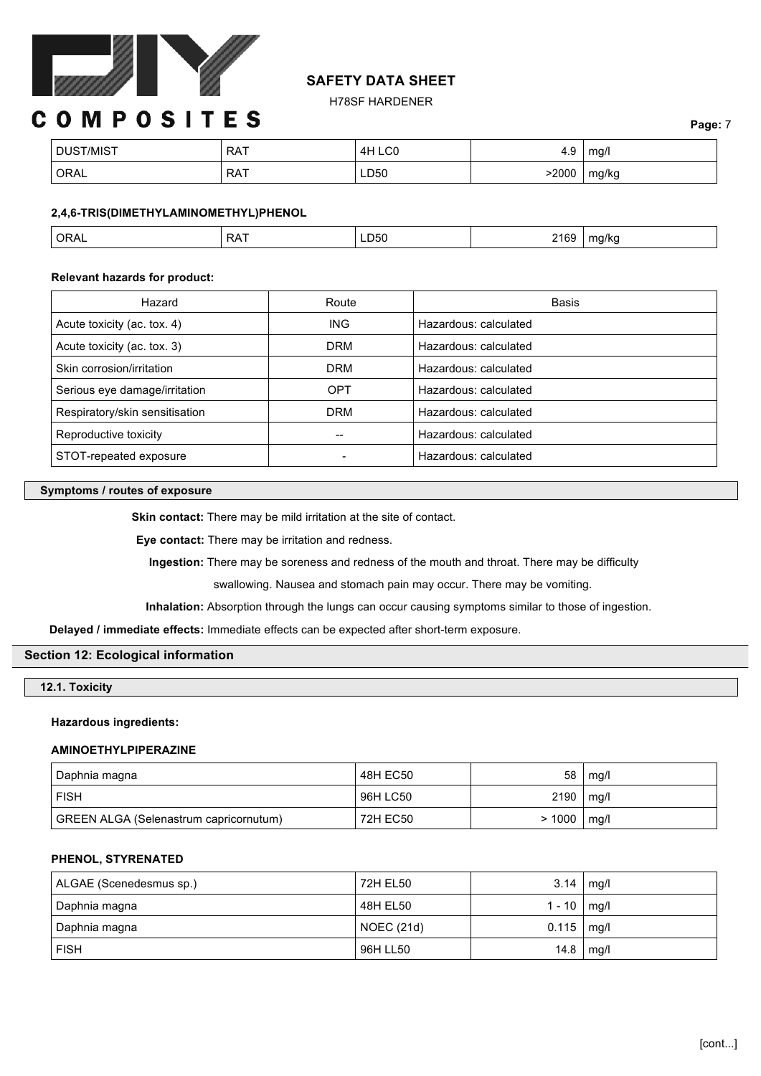

H78SF HARDENER

# **COMPOSITES**

| DUST/MIST | <b>RAT</b><br>. | ILCO -<br>ΔH | 4.9  | mg/l<br>ັ |
|-----------|-----------------|--------------|------|-----------|
| ORAL      | <b>RAT</b>      | LD50         | 2000 | mg/kg     |

# **2,4,6-TRIS(DIMETHYLAMINOMETHYL)PHENOL**

## **Relevant hazards for product:**

| Hazard                         | Route      | Basis                 |
|--------------------------------|------------|-----------------------|
| Acute toxicity (ac. tox. 4)    | <b>ING</b> | Hazardous: calculated |
| Acute toxicity (ac. tox. 3)    | <b>DRM</b> | Hazardous: calculated |
| Skin corrosion/irritation      | <b>DRM</b> | Hazardous: calculated |
| Serious eye damage/irritation  | <b>OPT</b> | Hazardous: calculated |
| Respiratory/skin sensitisation | <b>DRM</b> | Hazardous: calculated |
| Reproductive toxicity          | $- -$      | Hazardous: calculated |
| STOT-repeated exposure         |            | Hazardous: calculated |

#### **Symptoms / routes of exposure**

**Skin contact:** There may be mild irritation at the site of contact.

**Eye contact:** There may be irritation and redness.

**Ingestion:** There may be soreness and redness of the mouth and throat. There may be difficulty

swallowing. Nausea and stomach pain may occur. There may be vomiting.

**Inhalation:** Absorption through the lungs can occur causing symptoms similar to those of ingestion.

**Delayed / immediate effects:** Immediate effects can be expected after short-term exposure.

## **Section 12: Ecological information**

### **12.1. Toxicity**

## **Hazardous ingredients:**

#### **AMINOETHYLPIPERAZINE**

| Daphnia magna                          | 48H EC50 | 58              | mg/l |
|----------------------------------------|----------|-----------------|------|
| <b>FISH</b>                            | 96H LC50 | $2190$   mg/l   |      |
| GREEN ALGA (Selenastrum capricornutum) | 72H EC50 | $> 1000$   mg/l |      |

# **PHENOL, STYRENATED**

| ALGAE (Scenedesmus sp.) | 72H EL50   | 3.14   | mq/l |
|-------------------------|------------|--------|------|
| Daphnia magna           | 48H EL50   | 1 - 10 | mg/l |
| Daphnia magna           | NOEC (21d) | 0.115  | mg/l |
| <b>FISH</b>             | 96H LL50   | 14.8   | mg/l |

**Page:** 7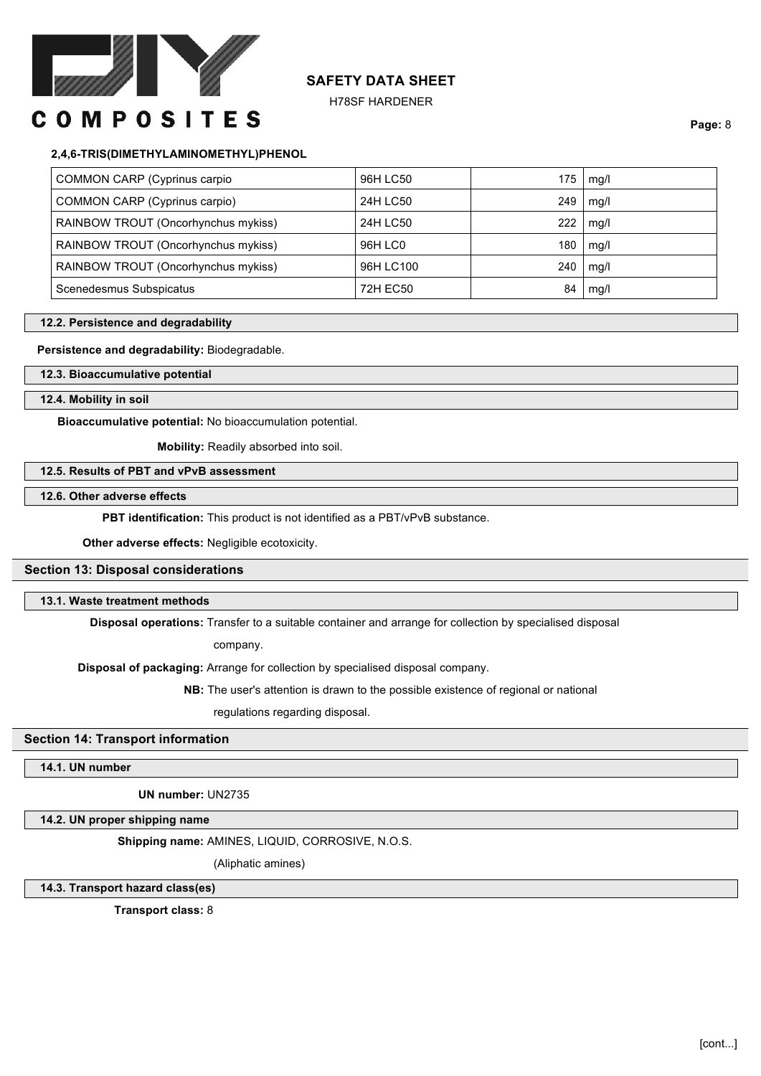

H78SF HARDENER

# **COMPOSITES**

**Page:** 8

# **2,4,6-TRIS(DIMETHYLAMINOMETHYL)PHENOL**

| COMMON CARP (Cyprinus carpio        | 96H LC50  | 175 | mg/l |
|-------------------------------------|-----------|-----|------|
| COMMON CARP (Cyprinus carpio)       | 24H LC50  | 249 | mg/l |
| RAINBOW TROUT (Oncorhynchus mykiss) | 24H LC50  | 222 | mg/l |
| RAINBOW TROUT (Oncorhynchus mykiss) | 96H LC0   | 180 | mg/l |
| RAINBOW TROUT (Oncorhynchus mykiss) | 96H LC100 | 240 | mg/l |
| Scenedesmus Subspicatus             | 72H EC50  | 84  | mg/l |

#### **12.2. Persistence and degradability**

#### **Persistence and degradability:** Biodegradable.

**12.3. Bioaccumulative potential**

#### **12.4. Mobility in soil**

**Bioaccumulative potential:** No bioaccumulation potential.

**Mobility:** Readily absorbed into soil.

# **12.5. Results of PBT and vPvB assessment**

# **12.6. Other adverse effects**

**PBT identification:** This product is not identified as a PBT/vPvB substance.

**Other adverse effects:** Negligible ecotoxicity.

# **Section 13: Disposal considerations**

#### **13.1. Waste treatment methods**

**Disposal operations:** Transfer to a suitable container and arrange for collection by specialised disposal

company.

**Disposal of packaging:** Arrange for collection by specialised disposal company.

**NB:** The user's attention is drawn to the possible existence of regional or national

regulations regarding disposal.

## **Section 14: Transport information**

# **14.1. UN number**

**UN number:** UN2735

# **14.2. UN proper shipping name**

**Shipping name:** AMINES, LIQUID, CORROSIVE, N.O.S.

(Aliphatic amines)

# **14.3. Transport hazard class(es)**

**Transport class:** 8